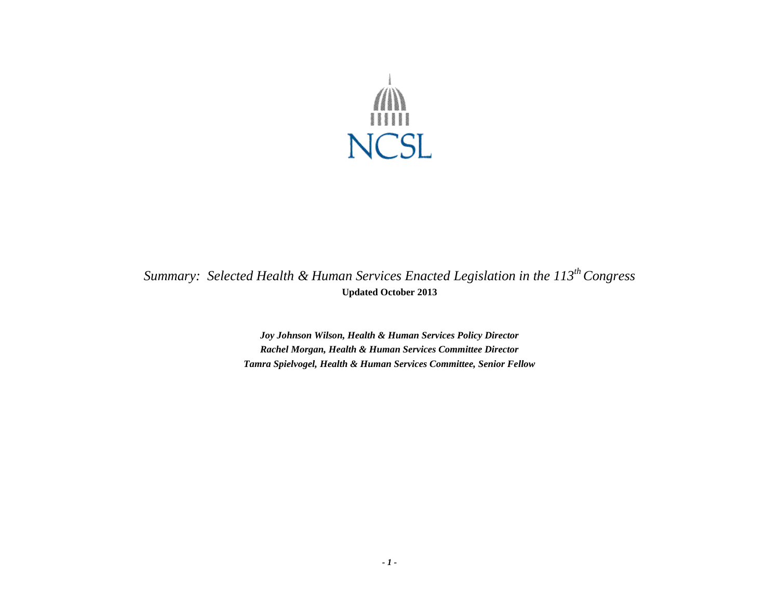

*Summary: Selected Health & Human Services Enacted Legislation in the 113 th Congress* **Updated October 2013**

> *Joy Johnson Wilson, Health & Human Services Policy Director Rachel Morgan, Health & Human Services Committee Director Tamra Spielvogel, Health & Human Services Committee, Senior Fellow*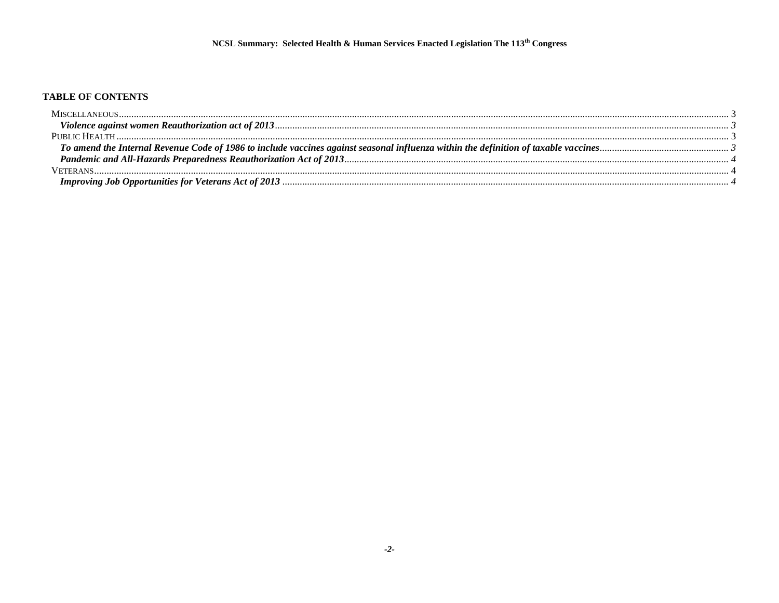## TABLE OF CONTENTS

| MISCEI I ANEOUS. |  |
|------------------|--|
|                  |  |
|                  |  |
|                  |  |
|                  |  |
|                  |  |
|                  |  |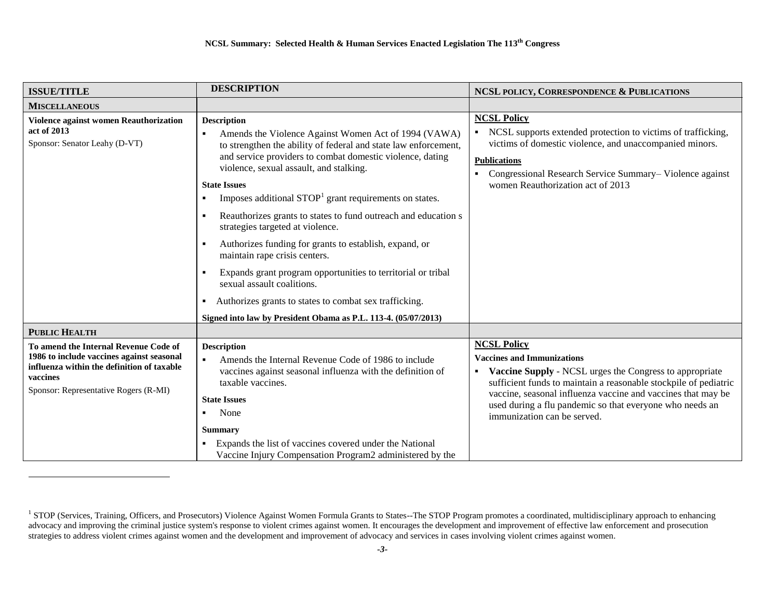| <b>DESCRIPTION</b>                                                                                                                                                                                                                                                                                                                                                                                                                                                                                                                                                                                                                                                                                                                                                            | NCSL POLICY, CORRESPONDENCE & PUBLICATIONS                                                                                                                                                                                                                                                                                                        |
|-------------------------------------------------------------------------------------------------------------------------------------------------------------------------------------------------------------------------------------------------------------------------------------------------------------------------------------------------------------------------------------------------------------------------------------------------------------------------------------------------------------------------------------------------------------------------------------------------------------------------------------------------------------------------------------------------------------------------------------------------------------------------------|---------------------------------------------------------------------------------------------------------------------------------------------------------------------------------------------------------------------------------------------------------------------------------------------------------------------------------------------------|
|                                                                                                                                                                                                                                                                                                                                                                                                                                                                                                                                                                                                                                                                                                                                                                               |                                                                                                                                                                                                                                                                                                                                                   |
| <b>Description</b><br>Amends the Violence Against Women Act of 1994 (VAWA)<br>to strengthen the ability of federal and state law enforcement,<br>and service providers to combat domestic violence, dating<br>violence, sexual assault, and stalking.<br><b>State Issues</b><br>Imposes additional STOP <sup>1</sup> grant requirements on states.<br>Reauthorizes grants to states to fund outreach and education s<br>strategies targeted at violence.<br>Authorizes funding for grants to establish, expand, or<br>maintain rape crisis centers.<br>Expands grant program opportunities to territorial or tribal<br>sexual assault coalitions.<br>Authorizes grants to states to combat sex trafficking.<br>Signed into law by President Obama as P.L. 113-4. (05/07/2013) | <b>NCSL Policy</b><br>• NCSL supports extended protection to victims of trafficking,<br>victims of domestic violence, and unaccompanied minors.<br><b>Publications</b><br>Congressional Research Service Summary-Violence against<br>women Reauthorization act of 2013                                                                            |
|                                                                                                                                                                                                                                                                                                                                                                                                                                                                                                                                                                                                                                                                                                                                                                               |                                                                                                                                                                                                                                                                                                                                                   |
| <b>Description</b><br>Amends the Internal Revenue Code of 1986 to include<br>vaccines against seasonal influenza with the definition of<br>taxable vaccines.<br><b>State Issues</b><br>None<br>Summary<br>Expands the list of vaccines covered under the National                                                                                                                                                                                                                                                                                                                                                                                                                                                                                                             | <b>NCSL Policy</b><br><b>Vaccines and Immunizations</b><br>Vaccine Supply - NCSL urges the Congress to appropriate<br>sufficient funds to maintain a reasonable stockpile of pediatric<br>vaccine, seasonal influenza vaccine and vaccines that may be<br>used during a flu pandemic so that everyone who needs an<br>immunization can be served. |
|                                                                                                                                                                                                                                                                                                                                                                                                                                                                                                                                                                                                                                                                                                                                                                               | Vaccine Injury Compensation Program2 administered by the                                                                                                                                                                                                                                                                                          |

<sup>&</sup>lt;sup>1</sup> STOP (Services, Training, Officers, and Prosecutors) Violence Against Women Formula Grants to States--The STOP Program promotes a coordinated, multidisciplinary approach to enhancing advocacy and improving the criminal justice system's response to violent crimes against women. It encourages the development and improvement of effective law enforcement and prosecution strategies to address violent crimes against women and the development and improvement of advocacy and services in cases involving violent crimes against women.